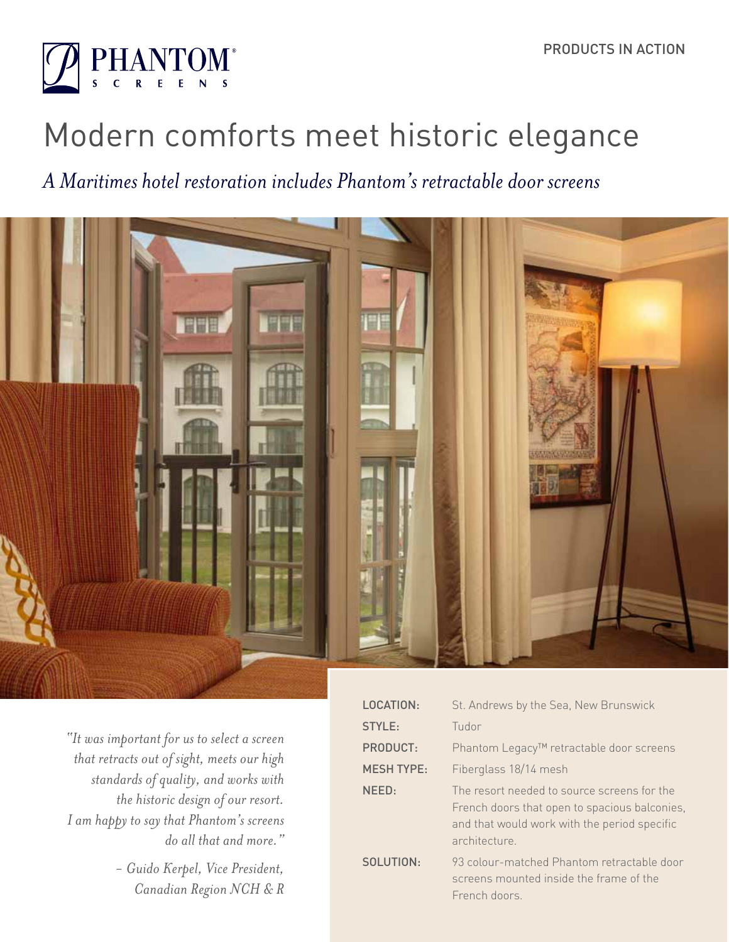

# Modern comforts meet historic elegance

# *A Maritimes hotel restoration includes Phantom's retractable door screens*



*"It was important for us to select a screen that retracts out of sight, meets our high standards of quality, and works with the historic design of our resort. I am happy to say that Phantom's screens do all that and more."* 

> *- Guido Kerpel, Vice President, Canadian Region NCH & R*

| LOCATION:         | St. Andrews by the Sea, New Brunswick                                                                                                                        |
|-------------------|--------------------------------------------------------------------------------------------------------------------------------------------------------------|
| STYLE:            | Tudor                                                                                                                                                        |
| PRODUCT:          | Phantom Legacy™ retractable door screens                                                                                                                     |
| <b>MESH TYPE:</b> | Fiberglass 18/14 mesh                                                                                                                                        |
| NEED:             | The resort needed to source screens for the<br>French doors that open to spacious balconies,<br>and that would work with the period specific<br>architecture |
| SOLUTION:         | 93 colour-matched Phantom retractable door<br>screens mounted inside the frame of the<br>French doors                                                        |